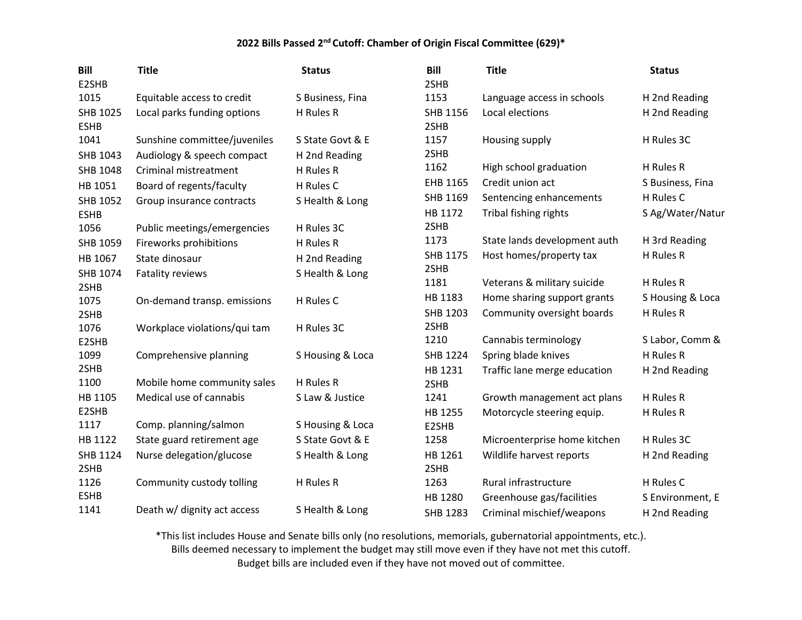| <b>Bill</b>             | <b>Title</b>                 | <b>Status</b>    | Bill             | <b>Title</b>                 | <b>Status</b>    |
|-------------------------|------------------------------|------------------|------------------|------------------------------|------------------|
| E2SHB                   |                              |                  | 2SHB             |                              |                  |
| 1015                    | Equitable access to credit   | S Business, Fina | 1153             | Language access in schools   | H 2nd Reading    |
| SHB 1025<br><b>ESHB</b> | Local parks funding options  | H Rules R        | SHB 1156<br>2SHB | Local elections              | H 2nd Reading    |
|                         |                              | S State Govt & E |                  |                              |                  |
| 1041                    | Sunshine committee/juveniles |                  | 1157<br>2SHB     | Housing supply               | H Rules 3C       |
| SHB 1043                | Audiology & speech compact   | H 2nd Reading    | 1162             | High school graduation       | H Rules R        |
| SHB 1048                | Criminal mistreatment        | H Rules R        |                  |                              |                  |
| HB 1051                 | Board of regents/faculty     | H Rules C        | EHB 1165         | Credit union act             | S Business, Fina |
| <b>SHB 1052</b>         | Group insurance contracts    | S Health & Long  | SHB 1169         | Sentencing enhancements      | H Rules C        |
| <b>ESHB</b>             |                              |                  | HB 1172          | Tribal fishing rights        | S Ag/Water/Natur |
| 1056                    | Public meetings/emergencies  | H Rules 3C       | 2SHB             |                              |                  |
| SHB 1059                | Fireworks prohibitions       | H Rules R        | 1173             | State lands development auth | H 3rd Reading    |
| HB 1067                 | State dinosaur               | H 2nd Reading    | SHB 1175         | Host homes/property tax      | H Rules R        |
| SHB 1074                | Fatality reviews             | S Health & Long  | 2SHB             |                              |                  |
| 2SHB                    |                              |                  | 1181             | Veterans & military suicide  | H Rules R        |
| 1075                    | On-demand transp. emissions  | H Rules C        | HB 1183          | Home sharing support grants  | S Housing & Loca |
| 2SHB                    |                              |                  | SHB 1203         | Community oversight boards   | H Rules R        |
| 1076                    | Workplace violations/qui tam | H Rules 3C       | 2SHB             |                              |                  |
| E2SHB                   |                              |                  | 1210             | Cannabis terminology         | S Labor, Comm &  |
| 1099                    | Comprehensive planning       | S Housing & Loca | SHB 1224         | Spring blade knives          | H Rules R        |
| 2SHB                    |                              |                  | HB 1231          | Traffic lane merge education | H 2nd Reading    |
| 1100                    | Mobile home community sales  | H Rules R        | 2SHB             |                              |                  |
| HB 1105                 | Medical use of cannabis      | S Law & Justice  | 1241             | Growth management act plans  | H Rules R        |
| E2SHB                   |                              |                  | HB 1255          | Motorcycle steering equip.   | H Rules R        |
| 1117                    | Comp. planning/salmon        | S Housing & Loca | E2SHB            |                              |                  |
| HB 1122                 | State guard retirement age   | S State Govt & E | 1258             | Microenterprise home kitchen | H Rules 3C       |
| SHB 1124<br>2SHB        | Nurse delegation/glucose     | S Health & Long  | HB 1261<br>2SHB  | Wildlife harvest reports     | H 2nd Reading    |
| 1126                    | Community custody tolling    | H Rules R        | 1263             | Rural infrastructure         | H Rules C        |
| <b>ESHB</b>             |                              |                  | HB 1280          | Greenhouse gas/facilities    | S Environment, E |
| 1141                    | Death w/ dignity act access  | S Health & Long  | SHB 1283         | Criminal mischief/weapons    | H 2nd Reading    |

\*This list includes House and Senate bills only (no resolutions, memorials, gubernatorial appointments, etc.).

Bills deemed necessary to implement the budget may still move even if they have not met this cutoff.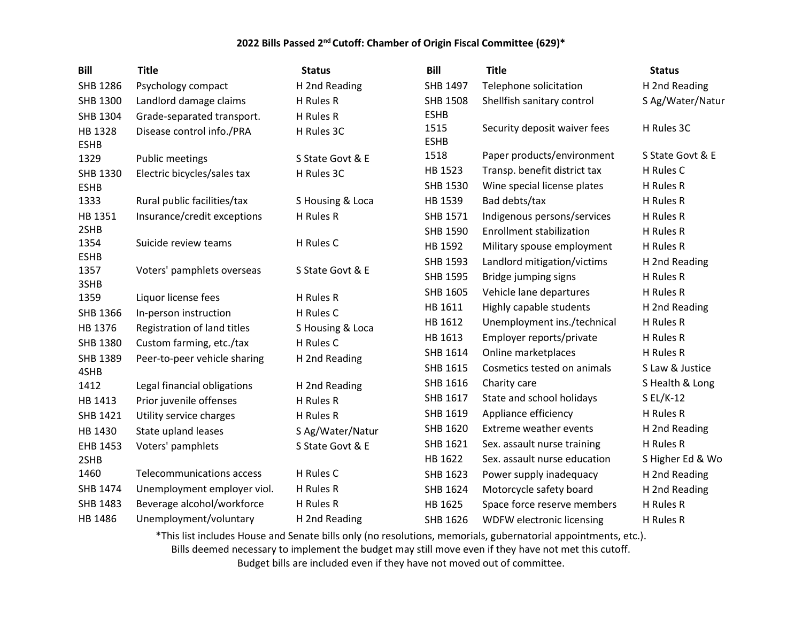| <b>Bill</b>            | <b>Title</b>                     | <b>Status</b>    | <b>Bill</b>         | <b>Title</b>                    | <b>Status</b>    |
|------------------------|----------------------------------|------------------|---------------------|---------------------------------|------------------|
| <b>SHB 1286</b>        | Psychology compact               | H 2nd Reading    | SHB 1497            | Telephone solicitation          | H 2nd Reading    |
| SHB 1300               | Landlord damage claims           | H Rules R        | <b>SHB 1508</b>     | Shellfish sanitary control      | S Ag/Water/Natur |
| <b>SHB 1304</b>        | Grade-separated transport.       | H Rules R        | <b>ESHB</b>         |                                 |                  |
| HB 1328<br><b>ESHB</b> | Disease control info./PRA        | H Rules 3C       | 1515<br><b>ESHB</b> | Security deposit waiver fees    | H Rules 3C       |
| 1329                   | <b>Public meetings</b>           | S State Govt & E | 1518                | Paper products/environment      | S State Govt & E |
| SHB 1330               | Electric bicycles/sales tax      | H Rules 3C       | HB 1523             | Transp. benefit district tax    | H Rules C        |
| <b>ESHB</b>            |                                  |                  | SHB 1530            | Wine special license plates     | H Rules R        |
| 1333                   | Rural public facilities/tax      | S Housing & Loca | HB 1539             | Bad debts/tax                   | H Rules R        |
| HB 1351                | Insurance/credit exceptions      | H Rules R        | SHB 1571            | Indigenous persons/services     | H Rules R        |
| 2SHB                   |                                  |                  | <b>SHB 1590</b>     | <b>Enrollment stabilization</b> | H Rules R        |
| 1354                   | Suicide review teams             | H Rules C        | HB 1592             | Military spouse employment      | H Rules R        |
| <b>ESHB</b>            |                                  |                  | <b>SHB 1593</b>     | Landlord mitigation/victims     | H 2nd Reading    |
| 1357                   | Voters' pamphlets overseas       | S State Govt & E | <b>SHB 1595</b>     | Bridge jumping signs            | H Rules R        |
| 3SHB<br>1359           | Liquor license fees              | H Rules R        | SHB 1605            | Vehicle lane departures         | H Rules R        |
| SHB 1366               | In-person instruction            | H Rules C        | HB 1611             | Highly capable students         | H 2nd Reading    |
| HB 1376                | Registration of land titles      | S Housing & Loca | HB 1612             | Unemployment ins./technical     | H Rules R        |
| <b>SHB 1380</b>        | Custom farming, etc./tax         | H Rules C        | HB 1613             | Employer reports/private        | H Rules R        |
| SHB 1389               |                                  |                  | SHB 1614            | Online marketplaces             | H Rules R        |
| 4SHB                   | Peer-to-peer vehicle sharing     | H 2nd Reading    | SHB 1615            | Cosmetics tested on animals     | S Law & Justice  |
| 1412                   | Legal financial obligations      | H 2nd Reading    | SHB 1616            | Charity care                    | S Health & Long  |
| HB 1413                | Prior juvenile offenses          | H Rules R        | SHB 1617            | State and school holidays       | $SL/K-12$        |
| SHB 1421               | Utility service charges          | H Rules R        | SHB 1619            | Appliance efficiency            | H Rules R        |
| HB 1430                | State upland leases              | S Ag/Water/Natur | SHB 1620            | <b>Extreme weather events</b>   | H 2nd Reading    |
| EHB 1453               | Voters' pamphlets                | S State Govt & E | SHB 1621            | Sex. assault nurse training     | H Rules R        |
| 2SHB                   |                                  |                  | HB 1622             | Sex. assault nurse education    | S Higher Ed & Wo |
| 1460                   | <b>Telecommunications access</b> | H Rules C        | SHB 1623            | Power supply inadequacy         | H 2nd Reading    |
| SHB 1474               | Unemployment employer viol.      | H Rules R        | SHB 1624            | Motorcycle safety board         | H 2nd Reading    |
| SHB 1483               | Beverage alcohol/workforce       | H Rules R        | HB 1625             | Space force reserve members     | H Rules R        |
| HB 1486                | Unemployment/voluntary           | H 2nd Reading    | SHB 1626            | WDFW electronic licensing       | H Rules R        |

\*This list includes House and Senate bills only (no resolutions, memorials, gubernatorial appointments, etc.). Bills deemed necessary to implement the budget may still move even if they have not met this cutoff.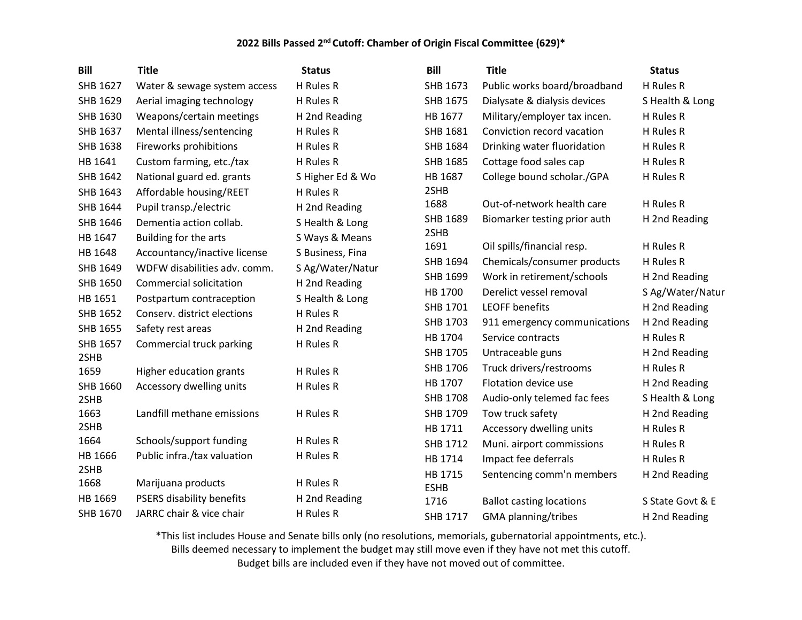| <b>Bill</b>  | <b>Title</b>                     | <b>Status</b>    | <b>Bill</b>            | <b>Title</b>                    | <b>Status</b>    |
|--------------|----------------------------------|------------------|------------------------|---------------------------------|------------------|
| SHB 1627     | Water & sewage system access     | H Rules R        | SHB 1673               | Public works board/broadband    | H Rules R        |
| SHB 1629     | Aerial imaging technology        | H Rules R        | SHB 1675               | Dialysate & dialysis devices    | S Health & Long  |
| SHB 1630     | Weapons/certain meetings         | H 2nd Reading    | HB 1677                | Military/employer tax incen.    | H Rules R        |
| SHB 1637     | Mental illness/sentencing        | H Rules R        | SHB 1681               | Conviction record vacation      | H Rules R        |
| SHB 1638     | Fireworks prohibitions           | H Rules R        | SHB 1684               | Drinking water fluoridation     | H Rules R        |
| HB 1641      | Custom farming, etc./tax         | H Rules R        | SHB 1685               | Cottage food sales cap          | H Rules R        |
| SHB 1642     | National guard ed. grants        | S Higher Ed & Wo | HB 1687                | College bound scholar./GPA      | H Rules R        |
| SHB 1643     | Affordable housing/REET          | H Rules R        | 2SHB                   |                                 |                  |
| SHB 1644     | Pupil transp./electric           | H 2nd Reading    | 1688                   | Out-of-network health care      | H Rules R        |
| SHB 1646     | Dementia action collab.          | S Health & Long  | SHB 1689               | Biomarker testing prior auth    | H 2nd Reading    |
| HB 1647      | Building for the arts            | S Ways & Means   | 2SHB                   |                                 |                  |
| HB 1648      | Accountancy/inactive license     | S Business, Fina | 1691                   | Oil spills/financial resp.      | H Rules R        |
| SHB 1649     | WDFW disabilities adv. comm.     | S Ag/Water/Natur | SHB 1694               | Chemicals/consumer products     | H Rules R        |
| SHB 1650     | Commercial solicitation          | H 2nd Reading    | SHB 1699               | Work in retirement/schools      | H 2nd Reading    |
| HB 1651      | Postpartum contraception         | S Health & Long  | HB 1700                | Derelict vessel removal         | S Ag/Water/Natur |
| SHB 1652     | Conserv. district elections      | H Rules R        | SHB 1701               | <b>LEOFF benefits</b>           | H 2nd Reading    |
| SHB 1655     | Safety rest areas                | H 2nd Reading    | SHB 1703               | 911 emergency communications    | H 2nd Reading    |
| SHB 1657     | Commercial truck parking         | H Rules R        | HB 1704                | Service contracts               | H Rules R        |
| 2SHB         |                                  |                  | SHB 1705               | Untraceable guns                | H 2nd Reading    |
| 1659         | Higher education grants          | H Rules R        | SHB 1706               | Truck drivers/restrooms         | H Rules R        |
| SHB 1660     | Accessory dwelling units         | H Rules R        | HB 1707                | Flotation device use            | H 2nd Reading    |
| 2SHB         |                                  |                  | SHB 1708               | Audio-only telemed fac fees     | S Health & Long  |
| 1663         | Landfill methane emissions       | H Rules R        | SHB 1709               | Tow truck safety                | H 2nd Reading    |
| 2SHB<br>1664 | Schools/support funding          | H Rules R        | HB 1711                | Accessory dwelling units        | H Rules R        |
| HB 1666      | Public infra./tax valuation      | H Rules R        | SHB 1712               | Muni. airport commissions       | H Rules R        |
| 2SHB         |                                  |                  | HB 1714                | Impact fee deferrals            | H Rules R        |
| 1668         | Marijuana products               | H Rules R        | HB 1715<br><b>ESHB</b> | Sentencing comm'n members       | H 2nd Reading    |
| HB 1669      | <b>PSERS disability benefits</b> | H 2nd Reading    | 1716                   | <b>Ballot casting locations</b> | S State Govt & E |
| SHB 1670     | JARRC chair & vice chair         | H Rules R        | SHB 1717               | GMA planning/tribes             | H 2nd Reading    |

\*This list includes House and Senate bills only (no resolutions, memorials, gubernatorial appointments, etc.).

Bills deemed necessary to implement the budget may still move even if they have not met this cutoff.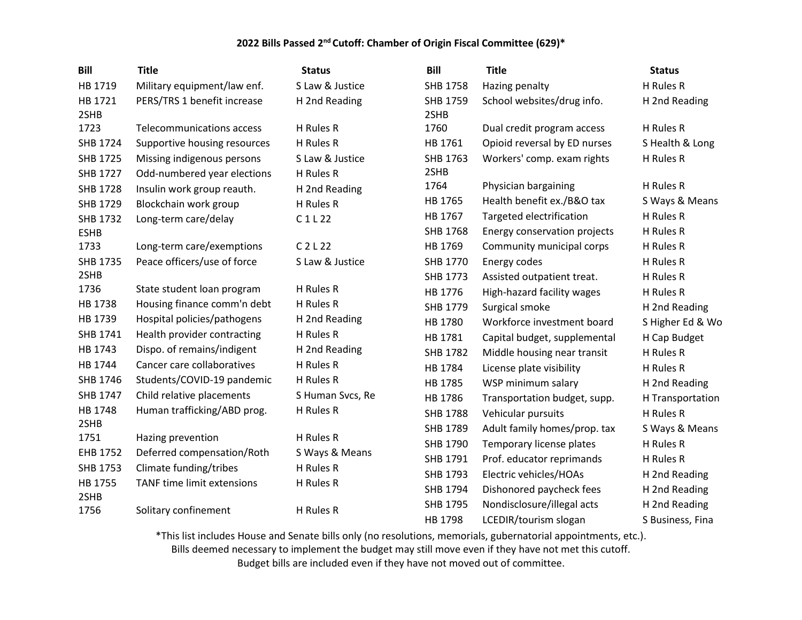| <b>Bill</b>     | <b>Title</b>                     | <b>Status</b>                  | <b>Bill</b>      | <b>Title</b>                 | <b>Status</b>    |
|-----------------|----------------------------------|--------------------------------|------------------|------------------------------|------------------|
| HB 1719         | Military equipment/law enf.      | S Law & Justice                | <b>SHB 1758</b>  | Hazing penalty               | H Rules R        |
| HB 1721<br>2SHB | PERS/TRS 1 benefit increase      | H 2nd Reading                  | SHB 1759<br>2SHB | School websites/drug info.   | H 2nd Reading    |
| 1723            | <b>Telecommunications access</b> | H Rules R                      | 1760             | Dual credit program access   | H Rules R        |
| SHB 1724        | Supportive housing resources     | H Rules R                      | HB 1761          | Opioid reversal by ED nurses | S Health & Long  |
| SHB 1725        | Missing indigenous persons       | S Law & Justice                | SHB 1763         | Workers' comp. exam rights   | H Rules R        |
| SHB 1727        | Odd-numbered year elections      | H Rules R                      | 2SHB             |                              |                  |
| <b>SHB 1728</b> | Insulin work group reauth.       | H 2nd Reading                  | 1764             | Physician bargaining         | H Rules R        |
| SHB 1729        | Blockchain work group            | H Rules R                      | HB 1765          | Health benefit ex./B&O tax   | S Ways & Means   |
| SHB 1732        | Long-term care/delay             | C1L22                          | HB 1767          | Targeted electrification     | H Rules R        |
| <b>ESHB</b>     |                                  |                                | SHB 1768         | Energy conservation projects | H Rules R        |
| 1733            | Long-term care/exemptions        | C <sub>2</sub> L <sub>22</sub> | HB 1769          | Community municipal corps    | H Rules R        |
| SHB 1735        | Peace officers/use of force      | S Law & Justice                | SHB 1770         | Energy codes                 | H Rules R        |
| 2SHB            |                                  |                                | SHB 1773         | Assisted outpatient treat.   | H Rules R        |
| 1736            | State student loan program       | H Rules R                      | HB 1776          | High-hazard facility wages   | H Rules R        |
| HB 1738         | Housing finance comm'n debt      | H Rules R                      | SHB 1779         | Surgical smoke               | H 2nd Reading    |
| HB 1739         | Hospital policies/pathogens      | H 2nd Reading                  | HB 1780          | Workforce investment board   | S Higher Ed & Wo |
| SHB 1741        | Health provider contracting      | H Rules R                      | HB 1781          | Capital budget, supplemental | H Cap Budget     |
| HB 1743         | Dispo. of remains/indigent       | H 2nd Reading                  | <b>SHB 1782</b>  | Middle housing near transit  | H Rules R        |
| HB 1744         | Cancer care collaboratives       | H Rules R                      | HB 1784          | License plate visibility     | H Rules R        |
| SHB 1746        | Students/COVID-19 pandemic       | H Rules R                      | HB 1785          | WSP minimum salary           | H 2nd Reading    |
| SHB 1747        | Child relative placements        | S Human Svcs, Re               | HB 1786          | Transportation budget, supp. | H Transportation |
| HB 1748         | Human trafficking/ABD prog.      | H Rules R                      | <b>SHB 1788</b>  | Vehicular pursuits           | H Rules R        |
| 2SHB            |                                  |                                | SHB 1789         | Adult family homes/prop. tax | S Ways & Means   |
| 1751            | Hazing prevention                | H Rules R                      | SHB 1790         | Temporary license plates     | H Rules R        |
| EHB 1752        | Deferred compensation/Roth       | S Ways & Means                 | SHB 1791         | Prof. educator reprimands    | H Rules R        |
| SHB 1753        | Climate funding/tribes           | H Rules R                      | SHB 1793         | Electric vehicles/HOAs       | H 2nd Reading    |
| HB 1755         | TANF time limit extensions       | H Rules R                      | SHB 1794         | Dishonored paycheck fees     | H 2nd Reading    |
| 2SHB<br>1756    |                                  | H Rules R                      | SHB 1795         | Nondisclosure/illegal acts   | H 2nd Reading    |
|                 | Solitary confinement             |                                | HB 1798          | LCEDIR/tourism slogan        | S Business, Fina |

\*This list includes House and Senate bills only (no resolutions, memorials, gubernatorial appointments, etc.).

Bills deemed necessary to implement the budget may still move even if they have not met this cutoff.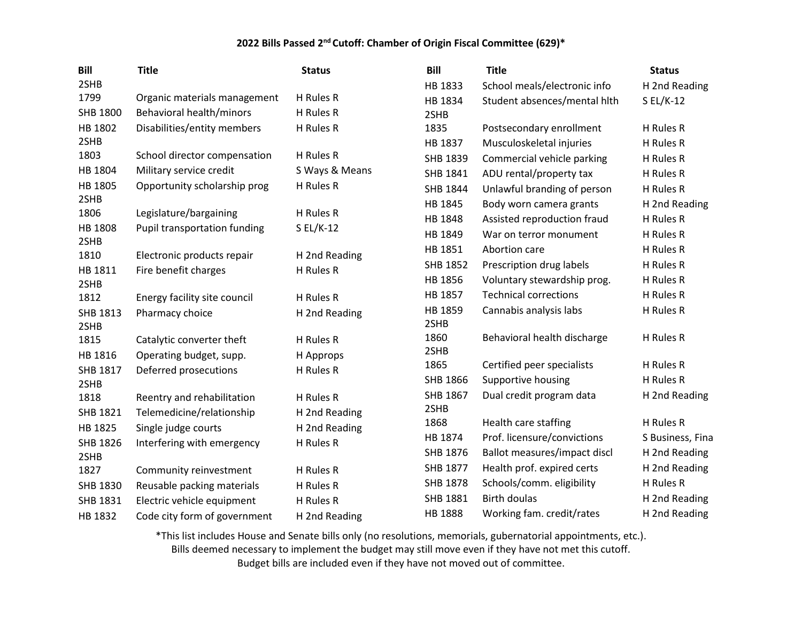| <b>Bill</b>  | <b>Title</b>                 | <b>Status</b>  | <b>Bill</b>     | <b>Title</b>                 | <b>Status</b>    |
|--------------|------------------------------|----------------|-----------------|------------------------------|------------------|
| 2SHB         |                              |                | HB 1833         | School meals/electronic info | H 2nd Reading    |
| 1799         | Organic materials management | H Rules R      | HB 1834         | Student absences/mental hith | $SL/K-12$        |
| SHB 1800     | Behavioral health/minors     | H Rules R      | 2SHB            |                              |                  |
| HB 1802      | Disabilities/entity members  | H Rules R      | 1835            | Postsecondary enrollment     | H Rules R        |
| 2SHB         |                              |                | HB 1837         | Musculoskeletal injuries     | H Rules R        |
| 1803         | School director compensation | H Rules R      | SHB 1839        | Commercial vehicle parking   | H Rules R        |
| HB 1804      | Military service credit      | S Ways & Means | SHB 1841        | ADU rental/property tax      | H Rules R        |
| HB 1805      | Opportunity scholarship prog | H Rules R      | SHB 1844        | Unlawful branding of person  | H Rules R        |
| 2SHB         |                              |                | HB 1845         | Body worn camera grants      | H 2nd Reading    |
| 1806         | Legislature/bargaining       | H Rules R      | HB 1848         | Assisted reproduction fraud  | H Rules R        |
| HB 1808      | Pupil transportation funding | S EL/K-12      | HB 1849         | War on terror monument       | H Rules R        |
| 2SHB<br>1810 | Electronic products repair   | H 2nd Reading  | HB 1851         | Abortion care                | H Rules R        |
| HB 1811      | Fire benefit charges         | H Rules R      | <b>SHB 1852</b> | Prescription drug labels     | H Rules R        |
| 2SHB         |                              |                | HB 1856         | Voluntary stewardship prog.  | H Rules R        |
| 1812         | Energy facility site council | H Rules R      | HB 1857         | <b>Technical corrections</b> | H Rules R        |
| SHB 1813     | Pharmacy choice              | H 2nd Reading  | HB 1859         | Cannabis analysis labs       | H Rules R        |
| 2SHB         |                              |                | 2SHB            |                              |                  |
| 1815         | Catalytic converter theft    | H Rules R      | 1860            | Behavioral health discharge  | H Rules R        |
| HB 1816      | Operating budget, supp.      | H Approps      | 2SHB            |                              |                  |
| SHB 1817     | Deferred prosecutions        | H Rules R      | 1865            | Certified peer specialists   | H Rules R        |
| 2SHB         |                              |                | SHB 1866        | Supportive housing           | H Rules R        |
| 1818         | Reentry and rehabilitation   | H Rules R      | SHB 1867        | Dual credit program data     | H 2nd Reading    |
| SHB 1821     | Telemedicine/relationship    | H 2nd Reading  | 2SHB            |                              |                  |
| HB 1825      | Single judge courts          | H 2nd Reading  | 1868            | Health care staffing         | H Rules R        |
| SHB 1826     | Interfering with emergency   | H Rules R      | HB 1874         | Prof. licensure/convictions  | S Business, Fina |
| 2SHB         |                              |                | SHB 1876        | Ballot measures/impact discl | H 2nd Reading    |
| 1827         | Community reinvestment       | H Rules R      | SHB 1877        | Health prof. expired certs   | H 2nd Reading    |
| SHB 1830     | Reusable packing materials   | H Rules R      | SHB 1878        | Schools/comm. eligibility    | H Rules R        |
| SHB 1831     | Electric vehicle equipment   | H Rules R      | SHB 1881        | <b>Birth doulas</b>          | H 2nd Reading    |
| HB 1832      | Code city form of government | H 2nd Reading  | HB 1888         | Working fam. credit/rates    | H 2nd Reading    |

\*This list includes House and Senate bills only (no resolutions, memorials, gubernatorial appointments, etc.).

Bills deemed necessary to implement the budget may still move even if they have not met this cutoff.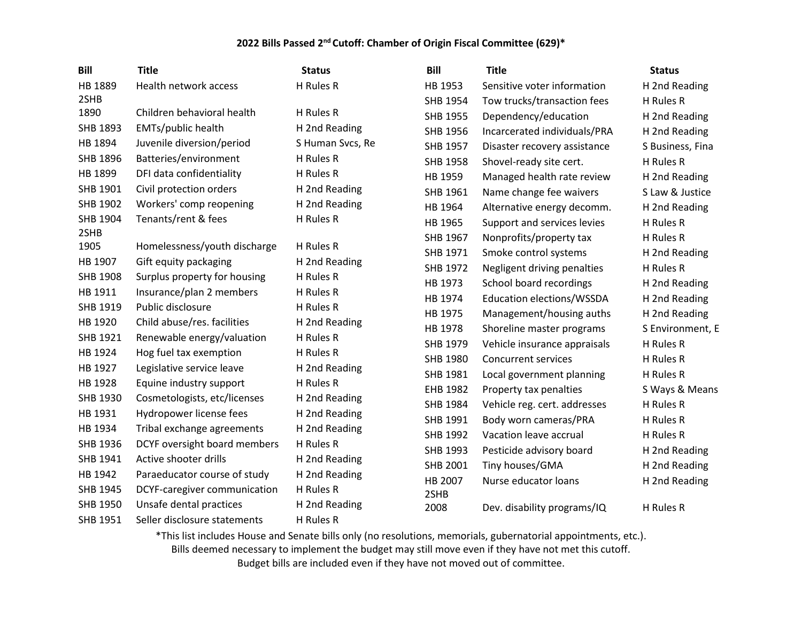| <b>Bill</b>     | <b>Title</b>                 | <b>Status</b>    | <b>Bill</b>     | <b>Title</b>                 | <b>Status</b>    |
|-----------------|------------------------------|------------------|-----------------|------------------------------|------------------|
| HB 1889         | Health network access        | H Rules R        | HB 1953         | Sensitive voter information  | H 2nd Reading    |
| 2SHB            |                              |                  | SHB 1954        | Tow trucks/transaction fees  | H Rules R        |
| 1890            | Children behavioral health   | H Rules R        | <b>SHB 1955</b> | Dependency/education         | H 2nd Reading    |
| SHB 1893        | EMTs/public health           | H 2nd Reading    | SHB 1956        | Incarcerated individuals/PRA | H 2nd Reading    |
| HB 1894         | Juvenile diversion/period    | S Human Svcs, Re | SHB 1957        | Disaster recovery assistance | S Business, Fina |
| SHB 1896        | Batteries/environment        | H Rules R        | SHB 1958        | Shovel-ready site cert.      | H Rules R        |
| HB 1899         | DFI data confidentiality     | H Rules R        | HB 1959         | Managed health rate review   | H 2nd Reading    |
| SHB 1901        | Civil protection orders      | H 2nd Reading    | SHB 1961        | Name change fee waivers      | S Law & Justice  |
| SHB 1902        | Workers' comp reopening      | H 2nd Reading    | HB 1964         | Alternative energy decomm.   | H 2nd Reading    |
| <b>SHB 1904</b> | Tenants/rent & fees          | H Rules R        | HB 1965         | Support and services levies  | H Rules R        |
| 2SHB            |                              |                  | SHB 1967        | Nonprofits/property tax      | H Rules R        |
| 1905            | Homelessness/youth discharge | H Rules R        | SHB 1971        | Smoke control systems        | H 2nd Reading    |
| HB 1907         | Gift equity packaging        | H 2nd Reading    | SHB 1972        | Negligent driving penalties  | H Rules R        |
| SHB 1908        | Surplus property for housing | H Rules R        | HB 1973         | School board recordings      | H 2nd Reading    |
| HB 1911         | Insurance/plan 2 members     | H Rules R        | HB 1974         | Education elections/WSSDA    | H 2nd Reading    |
| SHB 1919        | Public disclosure            | H Rules R        | HB 1975         | Management/housing auths     | H 2nd Reading    |
| HB 1920         | Child abuse/res. facilities  | H 2nd Reading    | HB 1978         | Shoreline master programs    | S Environment, E |
| SHB 1921        | Renewable energy/valuation   | H Rules R        | SHB 1979        | Vehicle insurance appraisals | H Rules R        |
| HB 1924         | Hog fuel tax exemption       | H Rules R        | SHB 1980        | <b>Concurrent services</b>   | H Rules R        |
| HB 1927         | Legislative service leave    | H 2nd Reading    | SHB 1981        | Local government planning    | H Rules R        |
| HB 1928         | Equine industry support      | H Rules R        | EHB 1982        | Property tax penalties       | S Ways & Means   |
| SHB 1930        | Cosmetologists, etc/licenses | H 2nd Reading    | SHB 1984        | Vehicle reg. cert. addresses | H Rules R        |
| HB 1931         | Hydropower license fees      | H 2nd Reading    | SHB 1991        | Body worn cameras/PRA        | H Rules R        |
| HB 1934         | Tribal exchange agreements   | H 2nd Reading    | SHB 1992        | Vacation leave accrual       | H Rules R        |
| SHB 1936        | DCYF oversight board members | H Rules R        | SHB 1993        | Pesticide advisory board     | H 2nd Reading    |
| SHB 1941        | Active shooter drills        | H 2nd Reading    | SHB 2001        | Tiny houses/GMA              | H 2nd Reading    |
| HB 1942         | Paraeducator course of study | H 2nd Reading    | HB 2007         | Nurse educator loans         | H 2nd Reading    |
| SHB 1945        | DCYF-caregiver communication | H Rules R        | 2SHB            |                              |                  |
| SHB 1950        | Unsafe dental practices      | H 2nd Reading    | 2008            | Dev. disability programs/IQ  | H Rules R        |
| SHB 1951        | Seller disclosure statements | H Rules R        |                 |                              |                  |

\*This list includes House and Senate bills only (no resolutions, memorials, gubernatorial appointments, etc.).

Bills deemed necessary to implement the budget may still move even if they have not met this cutoff.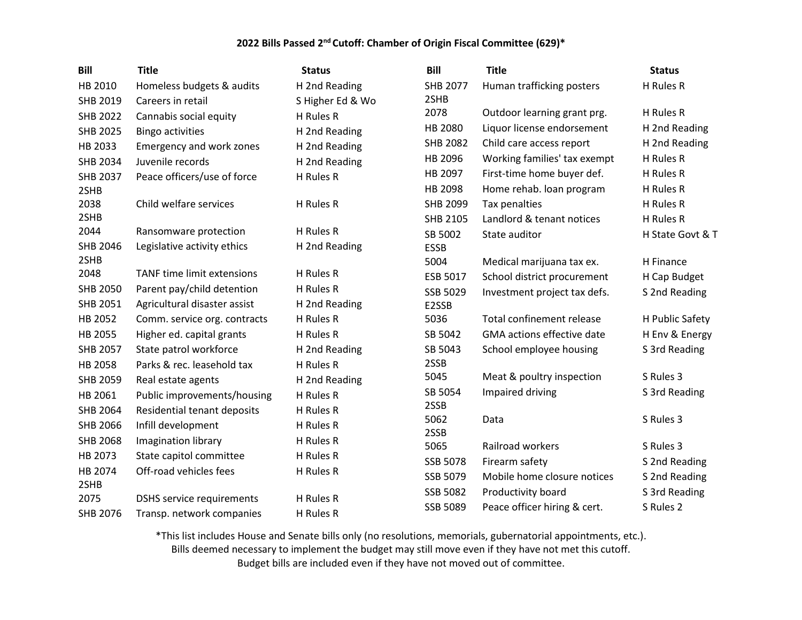| <b>Bill</b>     | <b>Title</b>                      | <b>Status</b>    | <b>Bill</b>     | <b>Title</b>                 | <b>Status</b>    |
|-----------------|-----------------------------------|------------------|-----------------|------------------------------|------------------|
| HB 2010         | Homeless budgets & audits         | H 2nd Reading    | <b>SHB 2077</b> | Human trafficking posters    | H Rules R        |
| SHB 2019        | Careers in retail                 | S Higher Ed & Wo | 2SHB            |                              |                  |
| <b>SHB 2022</b> | Cannabis social equity            | H Rules R        | 2078            | Outdoor learning grant prg.  | H Rules R        |
| <b>SHB 2025</b> | <b>Bingo activities</b>           | H 2nd Reading    | HB 2080         | Liquor license endorsement   | H 2nd Reading    |
| HB 2033         | Emergency and work zones          | H 2nd Reading    | <b>SHB 2082</b> | Child care access report     | H 2nd Reading    |
| <b>SHB 2034</b> | Juvenile records                  | H 2nd Reading    | HB 2096         | Working families' tax exempt | H Rules R        |
| <b>SHB 2037</b> | Peace officers/use of force       | H Rules R        | HB 2097         | First-time home buyer def.   | H Rules R        |
| 2SHB            |                                   |                  | HB 2098         | Home rehab. loan program     | H Rules R        |
| 2038            | Child welfare services            | H Rules R        | <b>SHB 2099</b> | Tax penalties                | H Rules R        |
| 2SHB            |                                   |                  | SHB 2105        | Landlord & tenant notices    | H Rules R        |
| 2044            | Ransomware protection             | H Rules R        | SB 5002         | State auditor                | H State Govt & T |
| SHB 2046        | Legislative activity ethics       | H 2nd Reading    | <b>ESSB</b>     |                              |                  |
| 2SHB            |                                   |                  | 5004            | Medical marijuana tax ex.    | H Finance        |
| 2048            | <b>TANF time limit extensions</b> | H Rules R        | ESB 5017        | School district procurement  | H Cap Budget     |
| <b>SHB 2050</b> | Parent pay/child detention        | H Rules R        | SSB 5029        | Investment project tax defs. | S 2nd Reading    |
| SHB 2051        | Agricultural disaster assist      | H 2nd Reading    | E2SSB           |                              |                  |
| HB 2052         | Comm. service org. contracts      | H Rules R        | 5036            | Total confinement release    | H Public Safety  |
| HB 2055         | Higher ed. capital grants         | H Rules R        | SB 5042         | GMA actions effective date   | H Env & Energy   |
| <b>SHB 2057</b> | State patrol workforce            | H 2nd Reading    | SB 5043         | School employee housing      | S 3rd Reading    |
| HB 2058         | Parks & rec. leasehold tax        | H Rules R        | 2SSB            |                              |                  |
| SHB 2059        | Real estate agents                | H 2nd Reading    | 5045            | Meat & poultry inspection    | S Rules 3        |
| HB 2061         | Public improvements/housing       | H Rules R        | SB 5054         | Impaired driving             | S 3rd Reading    |
| <b>SHB 2064</b> | Residential tenant deposits       | H Rules R        | 2SSB            |                              |                  |
| SHB 2066        | Infill development                | H Rules R        | 5062            | Data                         | S Rules 3        |
| <b>SHB 2068</b> | Imagination library               | H Rules R        | 2SSB<br>5065    | Railroad workers             | S Rules 3        |
| HB 2073         | State capitol committee           | H Rules R        | <b>SSB 5078</b> | Firearm safety               | S 2nd Reading    |
| HB 2074         | Off-road vehicles fees            | H Rules R        |                 |                              |                  |
| 2SHB            |                                   |                  | SSB 5079        | Mobile home closure notices  | S 2nd Reading    |
| 2075            | <b>DSHS</b> service requirements  | H Rules R        | <b>SSB 5082</b> | Productivity board           | S 3rd Reading    |
| SHB 2076        | Transp. network companies         | H Rules R        | SSB 5089        | Peace officer hiring & cert. | S Rules 2        |

\*This list includes House and Senate bills only (no resolutions, memorials, gubernatorial appointments, etc.). Bills deemed necessary to implement the budget may still move even if they have not met this cutoff.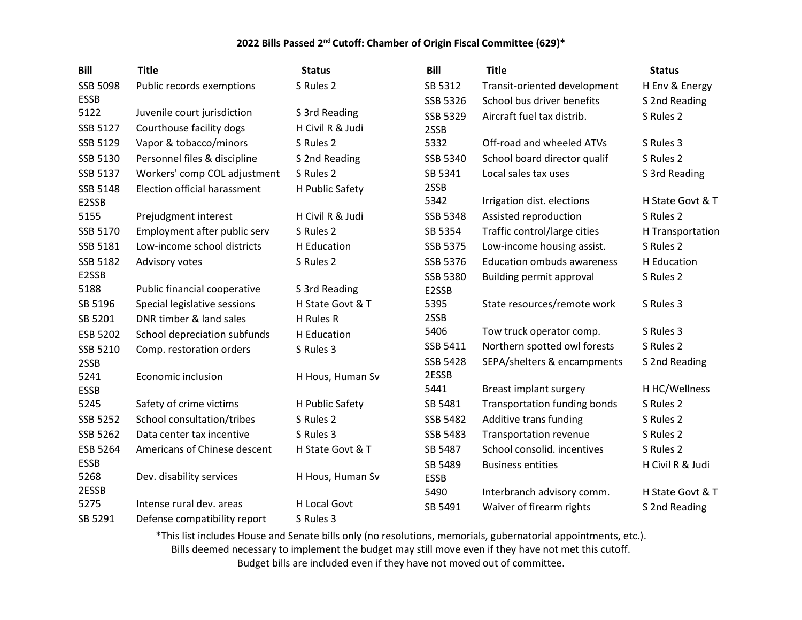| <b>Bill</b>     | <b>Title</b>                        | <b>Status</b>       | <b>Bill</b> | <b>Title</b>                      | <b>Status</b>    |
|-----------------|-------------------------------------|---------------------|-------------|-----------------------------------|------------------|
| <b>SSB 5098</b> | Public records exemptions           | S Rules 2           | SB 5312     | Transit-oriented development      | H Env & Energy   |
| <b>ESSB</b>     |                                     |                     | SSB 5326    | School bus driver benefits        | S 2nd Reading    |
| 5122            | Juvenile court jurisdiction         | S 3rd Reading       | SSB 5329    | Aircraft fuel tax distrib.        | S Rules 2        |
| SSB 5127        | Courthouse facility dogs            | H Civil R & Judi    | 2SSB        |                                   |                  |
| SSB 5129        | Vapor & tobacco/minors              | S Rules 2           | 5332        | Off-road and wheeled ATVs         | S Rules 3        |
| SSB 5130        | Personnel files & discipline        | S 2nd Reading       | SSB 5340    | School board director qualif      | S Rules 2        |
| SSB 5137        | Workers' comp COL adjustment        | S Rules 2           | SB 5341     | Local sales tax uses              | S 3rd Reading    |
| SSB 5148        | <b>Election official harassment</b> | H Public Safety     | 2SSB        |                                   |                  |
| E2SSB           |                                     |                     | 5342        | Irrigation dist. elections        | H State Govt & T |
| 5155            | Prejudgment interest                | H Civil R & Judi    | SSB 5348    | Assisted reproduction             | S Rules 2        |
| SSB 5170        | Employment after public serv        | S Rules 2           | SB 5354     | Traffic control/large cities      | H Transportation |
| SSB 5181        | Low-income school districts         | H Education         | SSB 5375    | Low-income housing assist.        | S Rules 2        |
| SSB 5182        | Advisory votes                      | S Rules 2           | SSB 5376    | <b>Education ombuds awareness</b> | H Education      |
| E2SSB           |                                     |                     | SSB 5380    | <b>Building permit approval</b>   | S Rules 2        |
| 5188            | Public financial cooperative        | S 3rd Reading       | E2SSB       |                                   |                  |
| SB 5196         | Special legislative sessions        | H State Govt & T    | 5395        | State resources/remote work       | S Rules 3        |
| SB 5201         | DNR timber & land sales             | H Rules R           | 2SSB        |                                   |                  |
| ESB 5202        | School depreciation subfunds        | H Education         | 5406        | Tow truck operator comp.          | S Rules 3        |
| SSB 5210        | Comp. restoration orders            | S Rules 3           | SSB 5411    | Northern spotted owl forests      | S Rules 2        |
| 2SSB            |                                     |                     | SSB 5428    | SEPA/shelters & encampments       | S 2nd Reading    |
| 5241            | Economic inclusion                  | H Hous, Human Sv    | 2ESSB       |                                   |                  |
| <b>ESSB</b>     |                                     |                     | 5441        | Breast implant surgery            | H HC/Wellness    |
| 5245            | Safety of crime victims             | H Public Safety     | SB 5481     | Transportation funding bonds      | S Rules 2        |
| SSB 5252        | School consultation/tribes          | S Rules 2           | SSB 5482    | Additive trans funding            | S Rules 2        |
| SSB 5262        | Data center tax incentive           | S Rules 3           | SSB 5483    | <b>Transportation revenue</b>     | S Rules 2        |
| ESB 5264        | Americans of Chinese descent        | H State Govt & T    | SB 5487     | School consolid. incentives       | S Rules 2        |
| <b>ESSB</b>     |                                     |                     | SB 5489     | <b>Business entities</b>          | H Civil R & Judi |
| 5268            | Dev. disability services            | H Hous, Human Sv    | <b>ESSB</b> |                                   |                  |
| 2ESSB           |                                     |                     | 5490        | Interbranch advisory comm.        | H State Govt & T |
| 5275            | Intense rural dev. areas            | <b>H Local Govt</b> | SB 5491     | Waiver of firearm rights          | S 2nd Reading    |
| SB 5291         | Defense compatibility report        | S Rules 3           |             |                                   |                  |

\*This list includes House and Senate bills only (no resolutions, memorials, gubernatorial appointments, etc.). Bills deemed necessary to implement the budget may still move even if they have not met this cutoff. Budget bills are included even if they have not moved out of committee.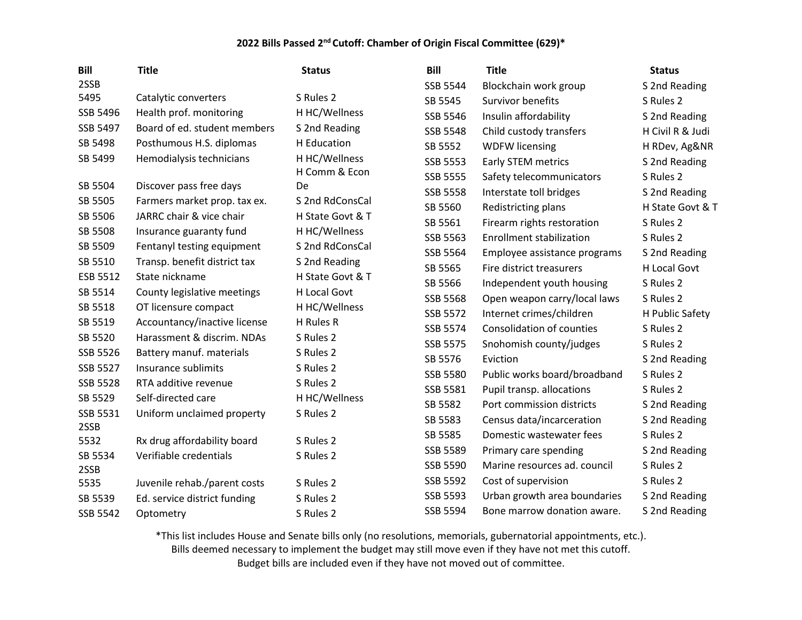| <b>Bill</b>     | <b>Title</b>                 | <b>Status</b>    | <b>Bill</b>     | <b>Title</b>                    | <b>Status</b>    |
|-----------------|------------------------------|------------------|-----------------|---------------------------------|------------------|
| 2SSB            |                              |                  | SSB 5544        | Blockchain work group           | S 2nd Reading    |
| 5495            | Catalytic converters         | S Rules 2        | SB 5545         | Survivor benefits               | S Rules 2        |
| SSB 5496        | Health prof. monitoring      | H HC/Wellness    | SSB 5546        | Insulin affordability           | S 2nd Reading    |
| SSB 5497        | Board of ed. student members | S 2nd Reading    | SSB 5548        | Child custody transfers         | H Civil R & Judi |
| SB 5498         | Posthumous H.S. diplomas     | H Education      | SB 5552         | <b>WDFW licensing</b>           | H RDev, Ag&NR    |
| SB 5499         | Hemodialysis technicians     | H HC/Wellness    | <b>SSB 5553</b> | Early STEM metrics              | S 2nd Reading    |
|                 |                              | H Comm & Econ    | <b>SSB 5555</b> | Safety telecommunicators        | S Rules 2        |
| SB 5504         | Discover pass free days      | De               | <b>SSB 5558</b> | Interstate toll bridges         | S 2nd Reading    |
| SB 5505         | Farmers market prop. tax ex. | S 2nd RdConsCal  | SB 5560         | Redistricting plans             | H State Govt & T |
| SB 5506         | JARRC chair & vice chair     | H State Govt & T | SB 5561         | Firearm rights restoration      | S Rules 2        |
| SB 5508         | Insurance guaranty fund      | H HC/Wellness    | SSB 5563        | <b>Enrollment stabilization</b> | S Rules 2        |
| SB 5509         | Fentanyl testing equipment   | S 2nd RdConsCal  | SSB 5564        | Employee assistance programs    | S 2nd Reading    |
| SB 5510         | Transp. benefit district tax | S 2nd Reading    | SB 5565         | Fire district treasurers        | H Local Govt     |
| ESB 5512        | State nickname               | H State Govt & T | SB 5566         | Independent youth housing       | S Rules 2        |
| SB 5514         | County legislative meetings  | H Local Govt     | SSB 5568        | Open weapon carry/local laws    | S Rules 2        |
| SB 5518         | OT licensure compact         | H HC/Wellness    | SSB 5572        | Internet crimes/children        | H Public Safety  |
| SB 5519         | Accountancy/inactive license | H Rules R        | SSB 5574        | Consolidation of counties       | S Rules 2        |
| SB 5520         | Harassment & discrim. NDAs   | S Rules 2        | <b>SSB 5575</b> | Snohomish county/judges         | S Rules 2        |
| <b>SSB 5526</b> | Battery manuf. materials     | S Rules 2        | SB 5576         | Eviction                        | S 2nd Reading    |
| <b>SSB 5527</b> | Insurance sublimits          | S Rules 2        | <b>SSB 5580</b> | Public works board/broadband    | S Rules 2        |
| <b>SSB 5528</b> | RTA additive revenue         | S Rules 2        | SSB 5581        | Pupil transp. allocations       | S Rules 2        |
| SB 5529         | Self-directed care           | H HC/Wellness    | SB 5582         | Port commission districts       | S 2nd Reading    |
| SSB 5531        | Uniform unclaimed property   | S Rules 2        | SB 5583         | Census data/incarceration       | S 2nd Reading    |
| 2SSB            |                              |                  | SB 5585         | Domestic wastewater fees        | S Rules 2        |
| 5532            | Rx drug affordability board  | S Rules 2        | SSB 5589        | Primary care spending           | S 2nd Reading    |
| SB 5534<br>2SSB | Verifiable credentials       | S Rules 2        | SSB 5590        | Marine resources ad. council    | S Rules 2        |
| 5535            | Juvenile rehab./parent costs | S Rules 2        | SSB 5592        | Cost of supervision             | S Rules 2        |
| SB 5539         | Ed. service district funding | S Rules 2        | SSB 5593        | Urban growth area boundaries    | S 2nd Reading    |
| SSB 5542        | Optometry                    | S Rules 2        | SSB 5594        | Bone marrow donation aware.     | S 2nd Reading    |
|                 |                              |                  |                 |                                 |                  |

\*This list includes House and Senate bills only (no resolutions, memorials, gubernatorial appointments, etc.).

Bills deemed necessary to implement the budget may still move even if they have not met this cutoff.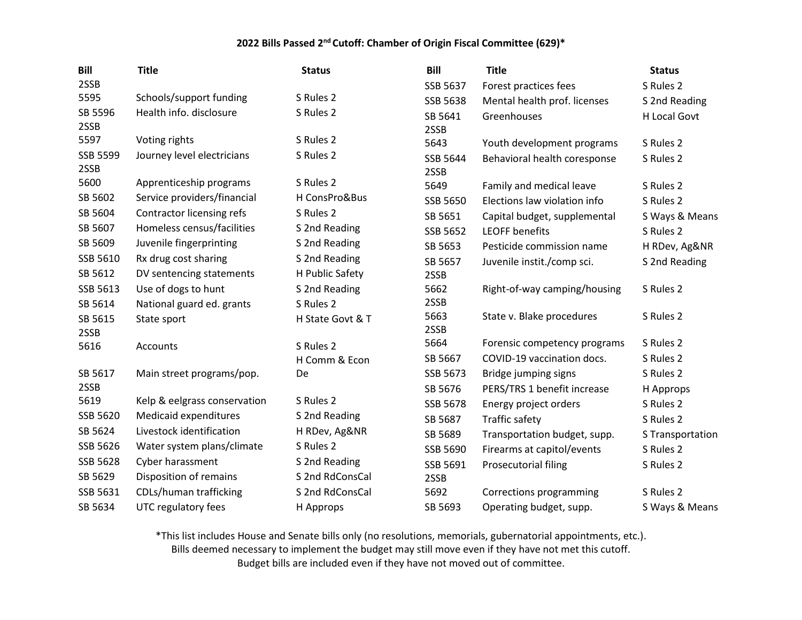| <b>Bill</b>      | <b>Title</b>                 | <b>Status</b>    | <b>Bill</b>      | <b>Title</b>                 | <b>Status</b>    |
|------------------|------------------------------|------------------|------------------|------------------------------|------------------|
| 2SSB             |                              |                  | SSB 5637         | Forest practices fees        | S Rules 2        |
| 5595             | Schools/support funding      | S Rules 2        | SSB 5638         | Mental health prof. licenses | S 2nd Reading    |
| SB 5596          | Health info. disclosure      | S Rules 2        | SB 5641          | Greenhouses                  | H Local Govt     |
| 2SSB             |                              |                  | 2SSB             |                              |                  |
| 5597             | Voting rights                | S Rules 2        | 5643             | Youth development programs   | S Rules 2        |
| SSB 5599<br>2SSB | Journey level electricians   | S Rules 2        | SSB 5644<br>2SSB | Behavioral health coresponse | S Rules 2        |
| 5600             | Apprenticeship programs      | S Rules 2        | 5649             | Family and medical leave     | S Rules 2        |
| SB 5602          | Service providers/financial  | H ConsPro&Bus    | SSB 5650         | Elections law violation info | S Rules 2        |
| SB 5604          | Contractor licensing refs    | S Rules 2        | SB 5651          | Capital budget, supplemental | S Ways & Means   |
| SB 5607          | Homeless census/facilities   | S 2nd Reading    | SSB 5652         | <b>LEOFF benefits</b>        | S Rules 2        |
| SB 5609          | Juvenile fingerprinting      | S 2nd Reading    | SB 5653          | Pesticide commission name    | H RDev, Ag&NR    |
| SSB 5610         | Rx drug cost sharing         | S 2nd Reading    | SB 5657          | Juvenile instit./comp sci.   | S 2nd Reading    |
| SB 5612          | DV sentencing statements     | H Public Safety  | 2SSB             |                              |                  |
| SSB 5613         | Use of dogs to hunt          | S 2nd Reading    | 5662             | Right-of-way camping/housing | S Rules 2        |
| SB 5614          | National guard ed. grants    | S Rules 2        | 2SSB             |                              |                  |
| SB 5615          | State sport                  | H State Govt & T | 5663             | State v. Blake procedures    | S Rules 2        |
| 2SSB             |                              |                  | 2SSB             |                              |                  |
| 5616             | <b>Accounts</b>              | S Rules 2        | 5664             | Forensic competency programs | S Rules 2        |
|                  |                              | H Comm & Econ    | SB 5667          | COVID-19 vaccination docs.   | S Rules 2        |
| SB 5617          | Main street programs/pop.    | De               | SSB 5673         | Bridge jumping signs         | S Rules 2        |
| 2SSB             |                              |                  | SB 5676          | PERS/TRS 1 benefit increase  | H Approps        |
| 5619             | Kelp & eelgrass conservation | S Rules 2        | SSB 5678         | Energy project orders        | S Rules 2        |
| SSB 5620         | Medicaid expenditures        | S 2nd Reading    | SB 5687          | <b>Traffic safety</b>        | S Rules 2        |
| SB 5624          | Livestock identification     | H RDev, Ag&NR    | SB 5689          | Transportation budget, supp. | S Transportation |
| SSB 5626         | Water system plans/climate   | S Rules 2        | SSB 5690         | Firearms at capitol/events   | S Rules 2        |
| SSB 5628         | Cyber harassment             | S 2nd Reading    | SSB 5691         | Prosecutorial filing         | S Rules 2        |
| SB 5629          | Disposition of remains       | S 2nd RdConsCal  | 2SSB             |                              |                  |
| SSB 5631         | CDLs/human trafficking       | S 2nd RdConsCal  | 5692             | Corrections programming      | S Rules 2        |
| SB 5634          | UTC regulatory fees          | H Approps        | SB 5693          | Operating budget, supp.      | S Ways & Means   |

\*This list includes House and Senate bills only (no resolutions, memorials, gubernatorial appointments, etc.).

Bills deemed necessary to implement the budget may still move even if they have not met this cutoff.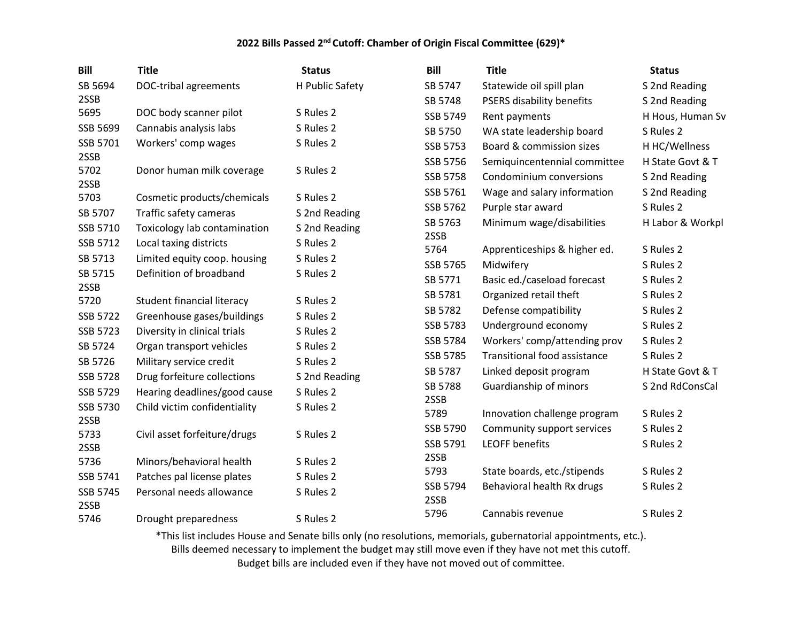| <b>Bill</b>      | <b>Title</b>                      | <b>Status</b>   | <b>Bill</b>      | <b>Title</b>                 | <b>Status</b>    |
|------------------|-----------------------------------|-----------------|------------------|------------------------------|------------------|
| SB 5694          | DOC-tribal agreements             | H Public Safety | SB 5747          | Statewide oil spill plan     | S 2nd Reading    |
| 2SSB             |                                   |                 | SB 5748          | PSERS disability benefits    | S 2nd Reading    |
| 5695             | DOC body scanner pilot            | S Rules 2       | SSB 5749         | Rent payments                | H Hous, Human Sv |
| SSB 5699         | Cannabis analysis labs            | S Rules 2       | SB 5750          | WA state leadership board    | S Rules 2        |
| SSB 5701         | Workers' comp wages               | S Rules 2       | SSB 5753         | Board & commission sizes     | H HC/Wellness    |
| 2SSB             |                                   |                 | SSB 5756         | Semiquincentennial committee | H State Govt & T |
| 5702             | Donor human milk coverage         | S Rules 2       | SSB 5758         | Condominium conversions      | S 2nd Reading    |
| 2SSB<br>5703     | Cosmetic products/chemicals       | S Rules 2       | SSB 5761         | Wage and salary information  | S 2nd Reading    |
| SB 5707          | Traffic safety cameras            | S 2nd Reading   | SSB 5762         | Purple star award            | S Rules 2        |
| SSB 5710         | Toxicology lab contamination      | S 2nd Reading   | SB 5763          | Minimum wage/disabilities    | H Labor & Workpl |
| SSB 5712         | Local taxing districts            | S Rules 2       | 2SSB             |                              |                  |
| SB 5713          | Limited equity coop. housing      | S Rules 2       | 5764             | Apprenticeships & higher ed. | S Rules 2        |
| SB 5715          | Definition of broadband           | S Rules 2       | SSB 5765         | Midwifery                    | S Rules 2        |
| 2SSB             |                                   |                 | SB 5771          | Basic ed./caseload forecast  | S Rules 2        |
| 5720             | <b>Student financial literacy</b> | S Rules 2       | SB 5781          | Organized retail theft       | S Rules 2        |
| SSB 5722         | Greenhouse gases/buildings        | S Rules 2       | SB 5782          | Defense compatibility        | S Rules 2        |
| SSB 5723         | Diversity in clinical trials      | S Rules 2       | SSB 5783         | Underground economy          | S Rules 2        |
| SB 5724          | Organ transport vehicles          | S Rules 2       | SSB 5784         | Workers' comp/attending prov | S Rules 2        |
| SB 5726          | Military service credit           | S Rules 2       | SSB 5785         | Transitional food assistance | S Rules 2        |
| SSB 5728         | Drug forfeiture collections       | S 2nd Reading   | SB 5787          | Linked deposit program       | H State Govt & T |
| SSB 5729         | Hearing deadlines/good cause      | S Rules 2       | SB 5788          | Guardianship of minors       | S 2nd RdConsCal  |
| SSB 5730         | Child victim confidentiality      | S Rules 2       | 2SSB             |                              |                  |
| 2SSB             |                                   |                 | 5789             | Innovation challenge program | S Rules 2        |
| 5733             | Civil asset forfeiture/drugs      | S Rules 2       | SSB 5790         | Community support services   | S Rules 2        |
| 2SSB             |                                   |                 | SSB 5791         | <b>LEOFF benefits</b>        | S Rules 2        |
| 5736             | Minors/behavioral health          | S Rules 2       | 2SSB             |                              |                  |
| SSB 5741         | Patches pal license plates        | S Rules 2       | 5793             | State boards, etc./stipends  | S Rules 2        |
| SSB 5745<br>2SSB | Personal needs allowance          | S Rules 2       | SSB 5794<br>2SSB | Behavioral health Rx drugs   | S Rules 2        |
| 5746             | Drought preparedness              | S Rules 2       | 5796             | Cannabis revenue             | S Rules 2        |

\*This list includes House and Senate bills only (no resolutions, memorials, gubernatorial appointments, etc.).

Bills deemed necessary to implement the budget may still move even if they have not met this cutoff.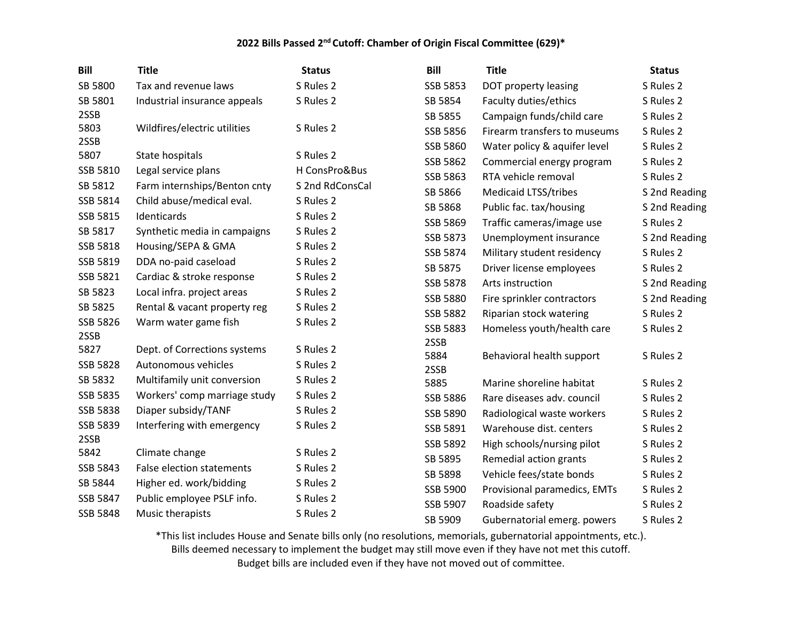| <b>Bill</b>     | <b>Title</b>                     | <b>Status</b>   | <b>Bill</b>     | <b>Title</b>                 | <b>Status</b> |
|-----------------|----------------------------------|-----------------|-----------------|------------------------------|---------------|
| SB 5800         | Tax and revenue laws             | S Rules 2       | SSB 5853        | DOT property leasing         | S Rules 2     |
| SB 5801         | Industrial insurance appeals     | S Rules 2       | SB 5854         | Faculty duties/ethics        | S Rules 2     |
| 2SSB            |                                  |                 | SB 5855         | Campaign funds/child care    | S Rules 2     |
| 5803            | Wildfires/electric utilities     | S Rules 2       | SSB 5856        | Firearm transfers to museums | S Rules 2     |
| 2SSB            |                                  |                 | SSB 5860        | Water policy & aquifer level | S Rules 2     |
| 5807            | State hospitals                  | S Rules 2       | SSB 5862        | Commercial energy program    | S Rules 2     |
| SSB 5810        | Legal service plans              | H ConsPro&Bus   | SSB 5863        | RTA vehicle removal          | S Rules 2     |
| SB 5812         | Farm internships/Benton cnty     | S 2nd RdConsCal | SB 5866         | <b>Medicaid LTSS/tribes</b>  | S 2nd Reading |
| SSB 5814        | Child abuse/medical eval.        | S Rules 2       | SB 5868         | Public fac. tax/housing      | S 2nd Reading |
| SSB 5815        | Identicards                      | S Rules 2       | SSB 5869        | Traffic cameras/image use    | S Rules 2     |
| SB 5817         | Synthetic media in campaigns     | S Rules 2       | SSB 5873        | Unemployment insurance       | S 2nd Reading |
| SSB 5818        | Housing/SEPA & GMA               | S Rules 2       | SSB 5874        | Military student residency   | S Rules 2     |
| SSB 5819        | DDA no-paid caseload             | S Rules 2       | SB 5875         | Driver license employees     | S Rules 2     |
| SSB 5821        | Cardiac & stroke response        | S Rules 2       | <b>SSB 5878</b> | Arts instruction             | S 2nd Reading |
| SB 5823         | Local infra. project areas       | S Rules 2       | SSB 5880        | Fire sprinkler contractors   | S 2nd Reading |
| SB 5825         | Rental & vacant property reg     | S Rules 2       | <b>SSB 5882</b> | Riparian stock watering      | S Rules 2     |
| SSB 5826        | Warm water game fish             | S Rules 2       | SSB 5883        | Homeless youth/health care   | S Rules 2     |
| 2SSB            |                                  |                 | 2SSB            |                              |               |
| 5827            | Dept. of Corrections systems     | S Rules 2       | 5884            | Behavioral health support    | S Rules 2     |
| <b>SSB 5828</b> | Autonomous vehicles              | S Rules 2       | 2SSB            |                              |               |
| SB 5832         | Multifamily unit conversion      | S Rules 2       | 5885            | Marine shoreline habitat     | S Rules 2     |
| SSB 5835        | Workers' comp marriage study     | S Rules 2       | <b>SSB 5886</b> | Rare diseases adv. council   | S Rules 2     |
| SSB 5838        | Diaper subsidy/TANF              | S Rules 2       | SSB 5890        | Radiological waste workers   | S Rules 2     |
| SSB 5839        | Interfering with emergency       | S Rules 2       | SSB 5891        | Warehouse dist. centers      | S Rules 2     |
| 2SSB            |                                  |                 | SSB 5892        | High schools/nursing pilot   | S Rules 2     |
| 5842            | Climate change                   | S Rules 2       | SB 5895         | Remedial action grants       | S Rules 2     |
| SSB 5843        | <b>False election statements</b> | S Rules 2       | SB 5898         | Vehicle fees/state bonds     | S Rules 2     |
| SB 5844         | Higher ed. work/bidding          | S Rules 2       | SSB 5900        | Provisional paramedics, EMTs | S Rules 2     |
| SSB 5847        | Public employee PSLF info.       | S Rules 2       | SSB 5907        | Roadside safety              | S Rules 2     |
| SSB 5848        | Music therapists                 | S Rules 2       | SB 5909         | Gubernatorial emerg. powers  | S Rules 2     |

\*This list includes House and Senate bills only (no resolutions, memorials, gubernatorial appointments, etc.).

Bills deemed necessary to implement the budget may still move even if they have not met this cutoff.